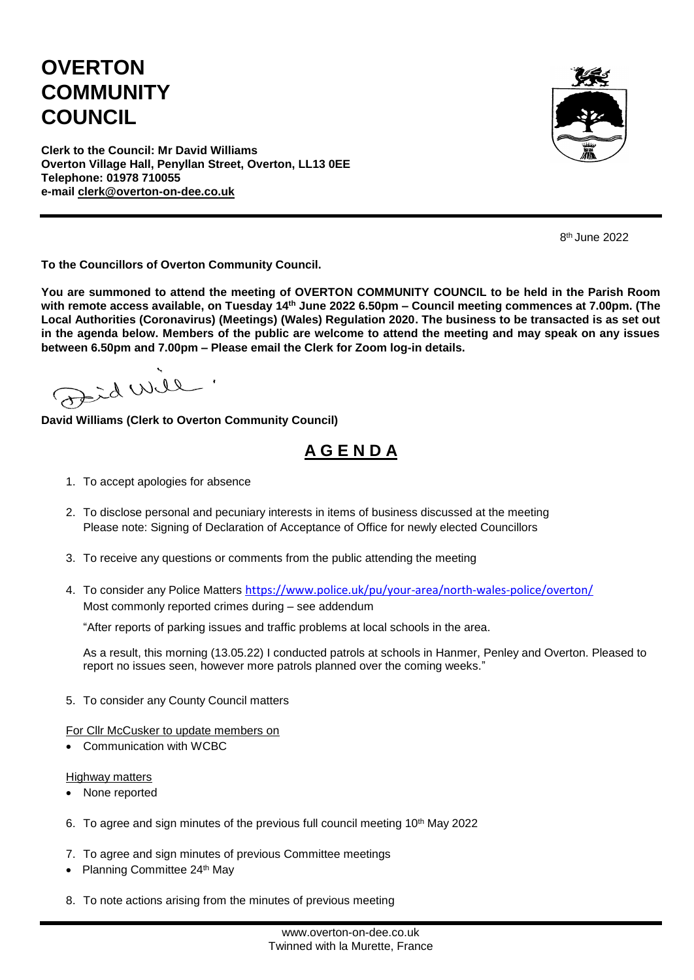## **OVERTON COMMUNITY COUNCIL**



**Clerk to the Council: Mr David Williams Overton Village Hall, Penyllan Street, Overton, LL13 0EE Telephone: 01978 710055 e-mail [clerk@overton-on-dee.co.uk](mailto:clerk@overton-on-dee.co.uk)**

8 th June 2022

**To the Councillors of Overton Community Council.**

**You are summoned to attend the meeting of OVERTON COMMUNITY COUNCIL to be held in the Parish Room with remote access available, on Tuesday 14 th June 2022 6.50pm – Council meeting commences at 7.00pm. (The Local Authorities (Coronavirus) (Meetings) (Wales) Regulation 2020. The business to be transacted is as set out in the agenda below. Members of the public are welcome to attend the meeting and may speak on any issues between 6.50pm and 7.00pm – Please email the Clerk for Zoom log-in details.**

alia bita

**David Williams (Clerk to Overton Community Council)**

## **A G E N D A**

- 1. To accept apologies for absence
- 2. To disclose personal and pecuniary interests in items of business discussed at the meeting Please note: Signing of Declaration of Acceptance of Office for newly elected Councillors
- 3. To receive any questions or comments from the public attending the meeting
- 4. To consider any Police Matters <https://www.police.uk/pu/your-area/north-wales-police/overton/> Most commonly reported crimes during – see addendum

"After reports of parking issues and traffic problems at local schools in the area.

As a result, this morning (13.05.22) I conducted patrols at schools in Hanmer, Penley and Overton. Pleased to report no issues seen, however more patrols planned over the coming weeks."

5. To consider any County Council matters

For Cllr McCusker to update members on

Communication with WCBC

Highway matters

- None reported
- 6. To agree and sign minutes of the previous full council meeting  $10<sup>th</sup>$  May 2022
- 7. To agree and sign minutes of previous Committee meetings
- Planning Committee  $24<sup>th</sup>$  May
- 8. To note actions arising from the minutes of previous meeting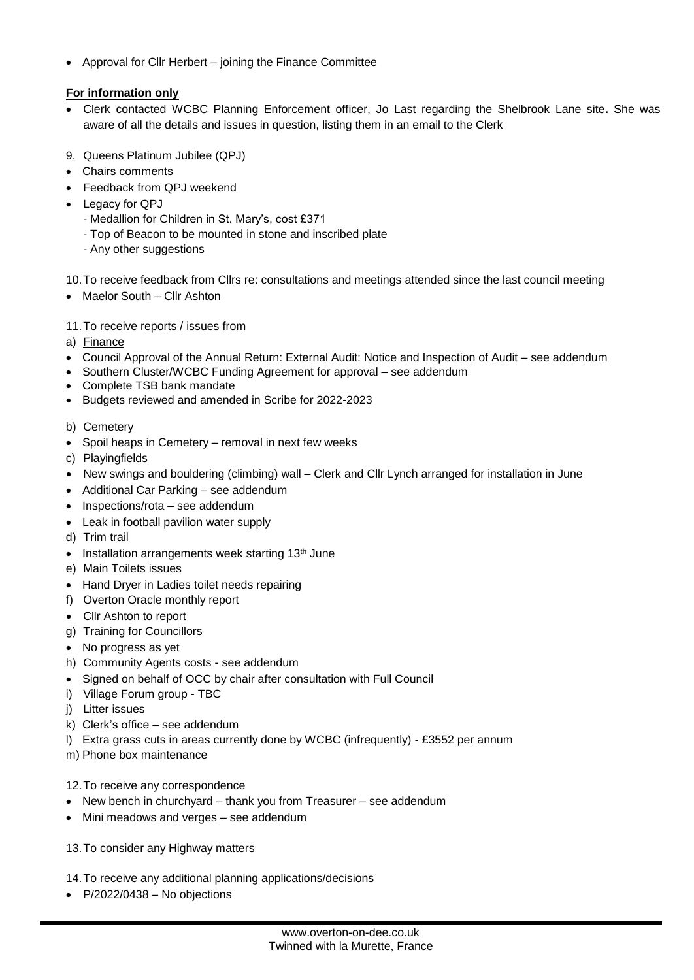Approval for Cllr Herbert – joining the Finance Committee

## **For information only**

- Clerk contacted WCBC Planning Enforcement officer, Jo Last regarding the Shelbrook Lane site**.** She was aware of all the details and issues in question, listing them in an email to the Clerk
- 9. Queens Platinum Jubilee (QPJ)
- Chairs comments
- Feedback from QPJ weekend
- Legacy for QPJ
	- Medallion for Children in St. Mary's, cost £371
	- Top of Beacon to be mounted in stone and inscribed plate
	- Any other suggestions

10.To receive feedback from Cllrs re: consultations and meetings attended since the last council meeting

- Maelor South Cllr Ashton
- 11.To receive reports / issues from
- a) Finance
- Council Approval of the Annual Return: External Audit: Notice and Inspection of Audit see addendum
- Southern Cluster/WCBC Funding Agreement for approval see addendum
- Complete TSB bank mandate
- Budgets reviewed and amended in Scribe for 2022-2023
- b) Cemetery
- Spoil heaps in Cemetery removal in next few weeks
- c) Playingfields
- New swings and bouldering (climbing) wall Clerk and Cllr Lynch arranged for installation in June
- Additional Car Parking see addendum
- Inspections/rota see addendum
- Leak in football pavilion water supply
- d) Trim trail
- Installation arrangements week starting 13<sup>th</sup> June
- e) Main Toilets issues
- Hand Dryer in Ladies toilet needs repairing
- f) Overton Oracle monthly report
- Cllr Ashton to report
- g) Training for Councillors
- No progress as yet
- h) Community Agents costs see addendum
- Signed on behalf of OCC by chair after consultation with Full Council
- i) Village Forum group TBC
- j) Litter issues
- k) Clerk's office see addendum
- l) Extra grass cuts in areas currently done by WCBC (infrequently) £3552 per annum
- m) Phone box maintenance

12.To receive any correspondence

- New bench in churchyard thank you from Treasurer see addendum
- Mini meadows and verges see addendum
- 13.To consider any Highway matters
- 14.To receive any additional planning applications/decisions
- $P/2022/0438 No$  objections